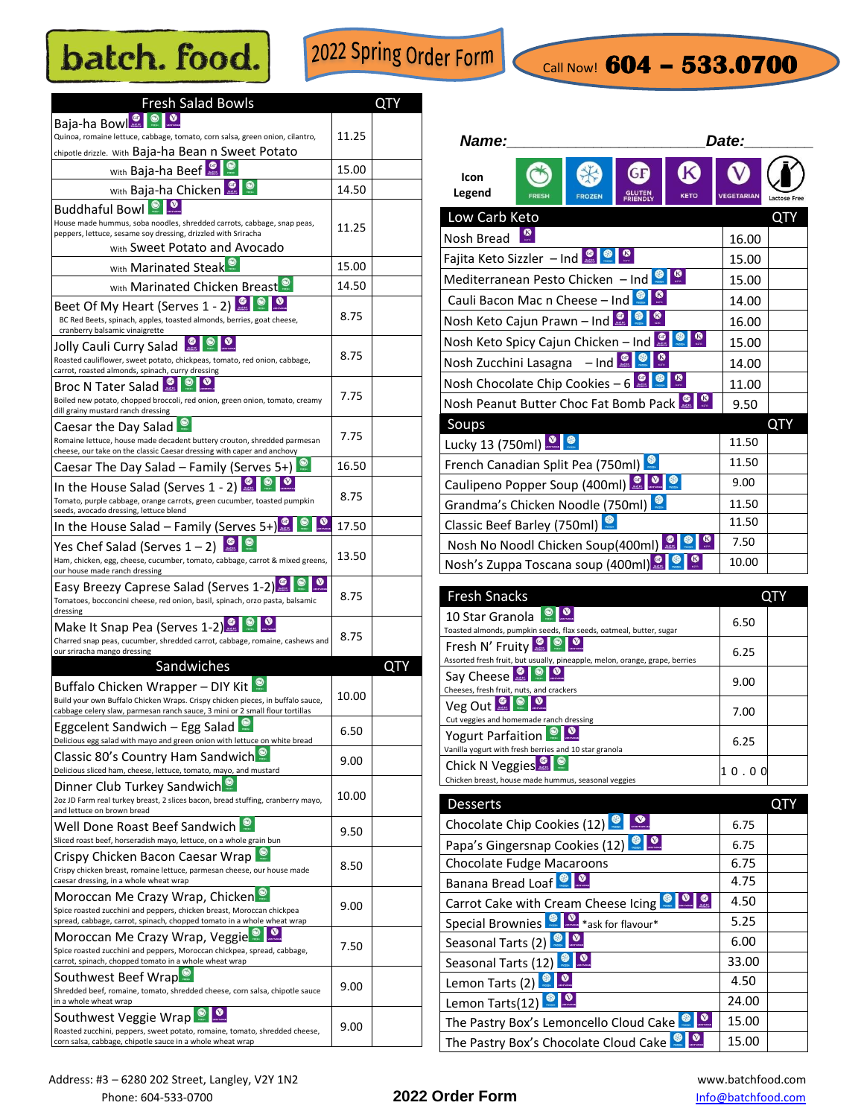## batch. food.

2022 Spring Order Form

## Call Now! **604 – 533.0700**

| <b>Fresh Salad Bowls</b>                                                                                                                |       |     |
|-----------------------------------------------------------------------------------------------------------------------------------------|-------|-----|
| Baja-ha Bowl <sup>o</sup>                                                                                                               |       |     |
| Quinoa, romaine lettuce, cabbage, tomato, corn salsa, green onion, cilantro,                                                            | 11.25 |     |
| chipotle drizzle. With Baja-ha Bean n Sweet Potato                                                                                      |       |     |
| With Baja-ha Beef<br>$\bullet$                                                                                                          | 15.00 |     |
| with Baja-ha Chicken                                                                                                                    | 14.50 |     |
| <b>Buddhaful Bowl O</b><br>House made hummus, soba noodles, shredded carrots, cabbage, snap peas,                                       |       |     |
| peppers, lettuce, sesame soy dressing, drizzled with Sriracha                                                                           | 11.25 |     |
| With Sweet Potato and Avocado                                                                                                           |       |     |
| With Marinated Steak                                                                                                                    | 15.00 |     |
| With Marinated Chicken Breast <sup>O</sup>                                                                                              | 14.50 |     |
| Beet Of My Heart (Serves 1 - 2) <b>Q</b> $\bullet$ <b>O</b>                                                                             | 8.75  |     |
| BC Red Beets, spinach, apples, toasted almonds, berries, goat cheese,<br>cranberry balsamic vinaigrette                                 |       |     |
| ◉<br>$\bullet$<br>$\bullet$<br>Jolly Cauli Curry Salad                                                                                  |       |     |
| Roasted cauliflower, sweet potato, chickpeas, tomato, red onion, cabbage,<br>carrot, roasted almonds, spinach, curry dressing           | 8.75  |     |
| Broc N Tater Salad                                                                                                                      |       |     |
| Boiled new potato, chopped broccoli, red onion, green onion, tomato, creamy                                                             | 7.75  |     |
| dill grainy mustard ranch dressing<br>Caesar the Day Salad                                                                              |       |     |
| Romaine lettuce, house made decadent buttery crouton, shredded parmesan                                                                 | 7.75  |     |
| cheese, our take on the classic Caesar dressing with caper and anchovy                                                                  |       |     |
| Caesar The Day Salad - Family (Serves 5+)                                                                                               | 16.50 |     |
| In the House Salad (Serves $1 - 2$ )<br>Tomato, purple cabbage, orange carrots, green cucumber, toasted pumpkin                         | 8.75  |     |
| seeds, avocado dressing, lettuce blend                                                                                                  |       |     |
| ◉<br>In the House Salad – Family (Serves 5+)                                                                                            | 17.50 |     |
| Yes Chef Salad (Serves $1-2$ ) <b>Q Q</b>                                                                                               | 13.50 |     |
| Ham, chicken, egg, cheese, cucumber, tomato, cabbage, carrot & mixed greens,<br>our house made ranch dressing                           |       |     |
| Easy Breezy Caprese Salad (Serves 1-2)                                                                                                  | 8.75  |     |
| Tomatoes, bocconcini cheese, red onion, basil, spinach, orzo pasta, balsamic<br>dressing                                                |       |     |
| Make It Snap Pea (Serves $1-2$ )                                                                                                        |       |     |
| Charred snap peas, cucumber, shredded carrot, cabbage, romaine, cashews and<br>our sriracha mango dressing                              | 8.75  |     |
| Sandwiches                                                                                                                              |       | QTY |
| Buffalo Chicken Wrapper - DIY Kit                                                                                                       |       |     |
| Build your own Buffalo Chicken Wraps. Crispy chicken pieces, in buffalo sauce,                                                          | 10.00 |     |
| cabbage celery slaw, parmesan ranch sauce, 3 mini or 2 small flour tortillas<br>Eggcelent Sandwich - Egg Salad                          |       |     |
| Delicious egg salad with mayo and green onion with lettuce on white bread                                                               | 6.50  |     |
| Classic 80's Country Ham Sandwich <sup>®</sup>                                                                                          | 9.00  |     |
| Delicious sliced ham, cheese, lettuce, tomato, mayo, and mustard                                                                        |       |     |
| Dinner Club Turkey Sandwich<br>2oz JD Farm real turkey breast, 2 slices bacon, bread stuffing, cranberry mayo,                          | 10.00 |     |
| and lettuce on brown bread                                                                                                              |       |     |
| Well Done Roast Beef Sandwich<br>Sliced roast beef, horseradish mayo, lettuce, on a whole grain bun                                     | 9.50  |     |
| Crispy Chicken Bacon Caesar Wrap                                                                                                        |       |     |
| Crispy chicken breast, romaine lettuce, parmesan cheese, our house made                                                                 | 8.50  |     |
| caesar dressing, in a whole wheat wrap                                                                                                  |       |     |
| Moroccan Me Crazy Wrap, Chicken<br>Spice roasted zucchini and peppers, chicken breast, Moroccan chickpea                                | 9.00  |     |
| spread, cabbage, carrot, spinach, chopped tomato in a whole wheat wrap                                                                  |       |     |
| Moroccan Me Crazy Wrap, Veggie<br>Spice roasted zucchini and peppers, Moroccan chickpea, spread, cabbage,                               | 7.50  |     |
| carrot, spinach, chopped tomato in a whole wheat wrap                                                                                   |       |     |
| Southwest Beef Wrap                                                                                                                     | 9.00  |     |
| Shredded beef, romaine, tomato, shredded cheese, corn salsa, chipotle sauce<br>in a whole wheat wrap                                    |       |     |
| ◉<br>Southwest Veggie Wrap                                                                                                              |       |     |
| Roasted zucchini, peppers, sweet potato, romaine, tomato, shredded cheese,<br>corn salsa, cabbage, chipotle sauce in a whole wheat wrap | 9.00  |     |

| Name:                                                                    | Date:                                 |
|--------------------------------------------------------------------------|---------------------------------------|
| <b>GF</b><br>Icon<br>Legend<br><b>FROZEN</b><br><b>FRESH</b><br>FRIENDLY | K<br><b>VEGETARIAN</b><br><b>KETO</b> |
| Low Carb Keto                                                            | <b>QTY</b>                            |
| Nosh Bread                                                               | 16.00                                 |
| <b>Fajita Keto Sizzler</b> – Ind <b>ALC</b> 8                            | 15.00                                 |
| Mediterranean Pesto Chicken - Ind                                        | 15.00                                 |
| Cauli Bacon Mac n Cheese - Ind                                           | 14.00                                 |
| Nosh Keto Cajun Prawn - Ind <b>Q &amp;</b>                               | 16.00                                 |
| Nosh Keto Spicy Cajun Chicken - Ind                                      | 15.00                                 |
| <b>Nosh Zucchini Lasagna</b> $-$ Ind $\blacksquare$                      | 14.00                                 |
| Nosh Chocolate Chip Cookies - $6$ $\bullet$ $\bullet$                    | 11.00                                 |
| Nosh Peanut Butter Choc Fat Bomb Pack                                    | 9.50                                  |
| Soups                                                                    | <b>QTY</b>                            |
| Lucky 13 (750ml) <b>0 8</b>                                              | 11.50                                 |
| French Canadian Split Pea (750ml)                                        | 11.50                                 |
| Caulipeno Popper Soup (400ml)                                            | 9.00                                  |
| Grandma's Chicken Noodle (750ml)                                         | 11.50                                 |
| Classic Beef Barley (750ml)                                              | 11.50                                 |
| Nosh No Noodl Chicken Soup(400ml)                                        | 7.50                                  |
| Nosh's Zuppa Toscana soup (400ml)                                        | 10.00                                 |

| <b>Fresh Snacks</b>                                                                                              |      |  |
|------------------------------------------------------------------------------------------------------------------|------|--|
| 10 Star Granola<br>Toasted almonds, pumpkin seeds, flax seeds, oatmeal, butter, sugar                            | 6.50 |  |
| Fresh N' Fruity<br>m <sub>2</sub><br>Assorted fresh fruit, but usually, pineapple, melon, orange, grape, berries | 6.25 |  |
| Say Cheese<br>$\bullet$<br>Cheeses, fresh fruit, nuts, and crackers                                              | 9.00 |  |
| Veg Out <b>Level</b><br>Cut veggies and homemade ranch dressing                                                  | 7.00 |  |
| Yogurt Parfaition<br>Vanilla yogurt with fresh berries and 10 star granola                                       | 6.25 |  |
| $\bullet$<br>Chick N Veggies<br>Chicken breast, house made hummus, seasonal veggies                              |      |  |

| <b>Desserts</b>                                             |       |  |
|-------------------------------------------------------------|-------|--|
| Chocolate Chip Cookies (12)                                 | 6.75  |  |
| Papa's Gingersnap Cookies (12)                              | 6.75  |  |
| <b>Chocolate Fudge Macaroons</b>                            | 6.75  |  |
| <b>Banana Bread Loaf</b>                                    | 4.75  |  |
| $\frac{1}{\sqrt{2}}$<br>Carrot Cake with Cream Cheese Icing | 4.50  |  |
| Special Brownies <b>State</b> *ask for flavour*             | 5.25  |  |
| Seasonal Tarts (2)                                          | 6.00  |  |
| Seasonal Tarts (12) <sup>88</sup>                           | 33.00 |  |
| $\frac{1}{2}$<br>Lemon Tarts (2)                            | 4.50  |  |
| Lemon Tarts(12)                                             | 24.00 |  |
| The Pastry Box's Lemoncello Cloud Cake                      | 15.00 |  |
| The Pastry Box's Chocolate Cloud Cake                       | 15.00 |  |